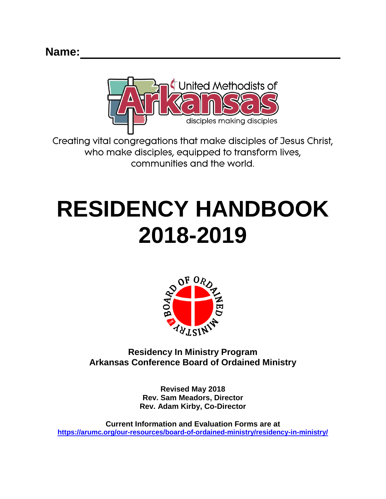

Creating vital congregations that make disciples of Jesus Christ, who make disciples, equipped to transform lives, communities and the world.

# **RESIDENCY HANDBOOK 2018-2019**



**Residency In Ministry Program Arkansas Conference Board of Ordained Ministry**

> **Revised May 2018 Rev. Sam Meadors, Director Rev. Adam Kirby, Co-Director**

**Current Information and Evaluation Forms are at <https://arumc.org/our-resources/board-of-ordained-ministry/residency-in-ministry/>**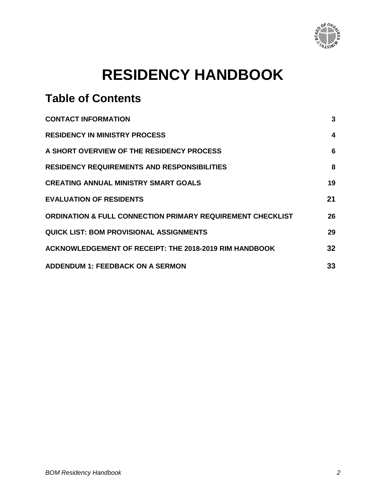

## **RESIDENCY HANDBOOK**

## **Table of Contents**

| <b>CONTACT INFORMATION</b>                                            | 3  |
|-----------------------------------------------------------------------|----|
| <b>RESIDENCY IN MINISTRY PROCESS</b>                                  | 4  |
| A SHORT OVERVIEW OF THE RESIDENCY PROCESS                             | 6  |
| <b>RESIDENCY REQUIREMENTS AND RESPONSIBILITIES</b>                    | 8  |
| <b>CREATING ANNUAL MINISTRY SMART GOALS</b>                           | 19 |
| <b>EVALUATION OF RESIDENTS</b>                                        | 21 |
| <b>ORDINATION &amp; FULL CONNECTION PRIMARY REQUIREMENT CHECKLIST</b> | 26 |
| <b>QUICK LIST: BOM PROVISIONAL ASSIGNMENTS</b>                        | 29 |
| <b>ACKNOWLEDGEMENT OF RECEIPT: THE 2018-2019 RIM HANDBOOK</b>         | 32 |
| <b>ADDENDUM 1: FEEDBACK ON A SERMON</b>                               | 33 |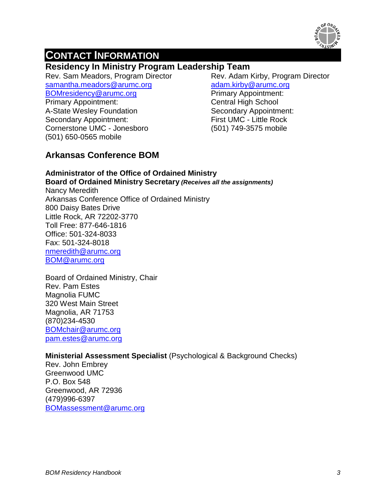

## **CONTACT INFORMATION**

## **Residency In Ministry Program Leadership Team**

Rev. Sam Meadors, Program Director [samantha.meadors@arumc.org](mailto:blake.bradford@arumc.org) [BOMresidency@arumc.org](mailto:BOMresidency@arumc.org)

Rev. Adam Kirby, Program Director [adam.kirby@arumc.org](mailto:adam.kirby@arumc.org)  Primary Appointment:

Primary Appointment: A-State Wesley Foundation Secondary Appointment: Cornerstone UMC - Jonesboro (501) 650-0565 mobile

Central High School Secondary Appointment: First UMC - Little Rock (501) 749-3575 mobile

## **Arkansas Conference BOM**

#### **Administrator of the Office of Ordained Ministry Board of Ordained Ministry Secretary** *(Receives all the assignments)*

Nancy Meredith Arkansas Conference Office of Ordained Ministry 800 Daisy Bates Drive Little Rock, AR 72202-3770 Toll Free: 877-646-1816 Office: 501-324-8033 Fax: 501-324-8018 [nmeredith@arumc.org](mailto:nmeredith@arumc.org) [BOM@arumc.org](mailto:BOM@arumc.org)

Board of Ordained Ministry, Chair Rev. Pam Estes Magnolia FUMC 320 West Main Street Magnolia, AR 71753 (870)234-4530 [BOMchair@arumc.org](mailto:BOMchair@arumc.org) [pam.estes@arumc.org](mailto:pam.estes@arumc.org)

#### **Ministerial Assessment Specialist** (Psychological & Background Checks)

<span id="page-2-0"></span>Rev. John Embrey Greenwood UMC P.O. Box 548 Greenwood, AR 72936 (479)996-6397 [BOMassessment@arumc.org](mailto:BOMassessment@arumc.org)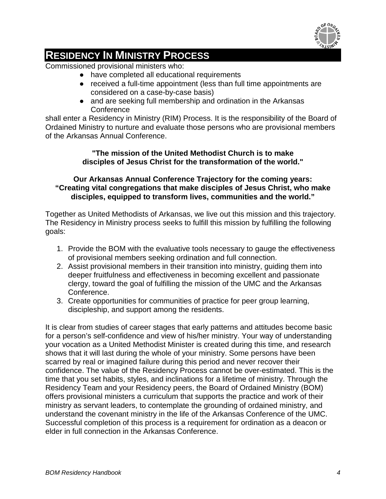

## **RESIDENCY IN MINISTRY PROCESS**

Commissioned provisional ministers who:

- have completed all educational requirements
- received a full-time appointment (less than full time appointments are considered on a case-by-case basis)
- and are seeking full membership and ordination in the Arkansas **Conference**

shall enter a Residency in Ministry (RIM) Process. It is the responsibility of the Board of Ordained Ministry to nurture and evaluate those persons who are provisional members of the Arkansas Annual Conference.

#### **"The mission of the United Methodist Church is to make disciples of Jesus Christ for the transformation of the world."**

#### **Our Arkansas Annual Conference Trajectory for the coming years: "Creating vital congregations that make disciples of Jesus Christ, who make disciples, equipped to transform lives, communities and the world."**

Together as United Methodists of Arkansas, we live out this mission and this trajectory. The Residency in Ministry process seeks to fulfill this mission by fulfilling the following goals:

- 1. Provide the BOM with the evaluative tools necessary to gauge the effectiveness of provisional members seeking ordination and full connection.
- 2. Assist provisional members in their transition into ministry, guiding them into deeper fruitfulness and effectiveness in becoming excellent and passionate clergy, toward the goal of fulfilling the mission of the UMC and the Arkansas Conference.
- 3. Create opportunities for communities of practice for peer group learning, discipleship, and support among the residents.

It is clear from studies of career stages that early patterns and attitudes become basic for a person's self-confidence and view of his/her ministry. Your way of understanding your vocation as a United Methodist Minister is created during this time, and research shows that it will last during the whole of your ministry. Some persons have been scarred by real or imagined failure during this period and never recover their confidence. The value of the Residency Process cannot be over-estimated. This is the time that you set habits, styles, and inclinations for a lifetime of ministry. Through the Residency Team and your Residency peers, the Board of Ordained Ministry (BOM) offers provisional ministers a curriculum that supports the practice and work of their ministry as servant leaders, to contemplate the grounding of ordained ministry, and understand the covenant ministry in the life of the Arkansas Conference of the UMC. Successful completion of this process is a requirement for ordination as a deacon or elder in full connection in the Arkansas Conference.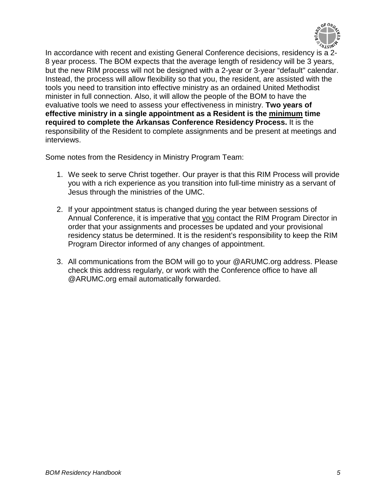

In accordance with recent and existing General Conference decisions, residency is a 2- 8 year process. The BOM expects that the average length of residency will be 3 years, but the new RIM process will not be designed with a 2-year or 3-year "default" calendar. Instead, the process will allow flexibility so that you, the resident, are assisted with the tools you need to transition into effective ministry as an ordained United Methodist minister in full connection. Also, it will allow the people of the BOM to have the evaluative tools we need to assess your effectiveness in ministry. **Two years of effective ministry in a single appointment as a Resident is the minimum time required to complete the Arkansas Conference Residency Process.** It is the responsibility of the Resident to complete assignments and be present at meetings and interviews.

Some notes from the Residency in Ministry Program Team:

- 1. We seek to serve Christ together. Our prayer is that this RIM Process will provide you with a rich experience as you transition into full-time ministry as a servant of Jesus through the ministries of the UMC.
- 2. If your appointment status is changed during the year between sessions of Annual Conference, it is imperative that you contact the RIM Program Director in order that your assignments and processes be updated and your provisional residency status be determined. It is the resident's responsibility to keep the RIM Program Director informed of any changes of appointment.
- 3. All communications from the BOM will go to your @ARUMC.org address. Please check this address regularly, or work with the Conference office to have all @ARUMC.org email automatically forwarded.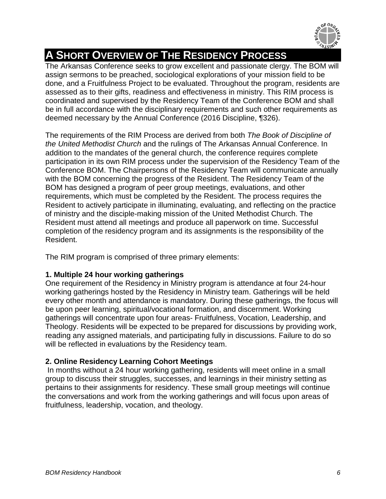

## <span id="page-5-0"></span>**A SHORT OVERVIEW OF THE RESIDENCY PROCESS**

The Arkansas Conference seeks to grow excellent and passionate clergy. The BOM will assign sermons to be preached, sociological explorations of your mission field to be done, and a Fruitfulness Project to be evaluated. Throughout the program, residents are assessed as to their gifts, readiness and effectiveness in ministry. This RIM process is coordinated and supervised by the Residency Team of the Conference BOM and shall be in full accordance with the disciplinary requirements and such other requirements as deemed necessary by the Annual Conference (2016 Discipline, ¶326).

The requirements of the RIM Process are derived from both *The Book of Discipline of the United Methodist Church* and the rulings of The Arkansas Annual Conference. In addition to the mandates of the general church, the conference requires complete participation in its own RIM process under the supervision of the Residency Team of the Conference BOM. The Chairpersons of the Residency Team will communicate annually with the BOM concerning the progress of the Resident. The Residency Team of the BOM has designed a program of peer group meetings, evaluations, and other requirements, which must be completed by the Resident. The process requires the Resident to actively participate in illuminating, evaluating, and reflecting on the practice of ministry and the disciple-making mission of the United Methodist Church. The Resident must attend all meetings and produce all paperwork on time. Successful completion of the residency program and its assignments is the responsibility of the Resident.

The RIM program is comprised of three primary elements:

#### **1. Multiple 24 hour working gatherings**

One requirement of the Residency in Ministry program is attendance at four 24-hour working gatherings hosted by the Residency in Ministry team. Gatherings will be held every other month and attendance is mandatory. During these gatherings, the focus will be upon peer learning, spiritual/vocational formation, and discernment. Working gatherings will concentrate upon four areas- Fruitfulness, Vocation, Leadership, and Theology. Residents will be expected to be prepared for discussions by providing work, reading any assigned materials, and participating fully in discussions. Failure to do so will be reflected in evaluations by the Residency team.

#### **2. Online Residency Learning Cohort Meetings**

In months without a 24 hour working gathering, residents will meet online in a small group to discuss their struggles, successes, and learnings in their ministry setting as pertains to their assignments for residency. These small group meetings will continue the conversations and work from the working gatherings and will focus upon areas of fruitfulness, leadership, vocation, and theology.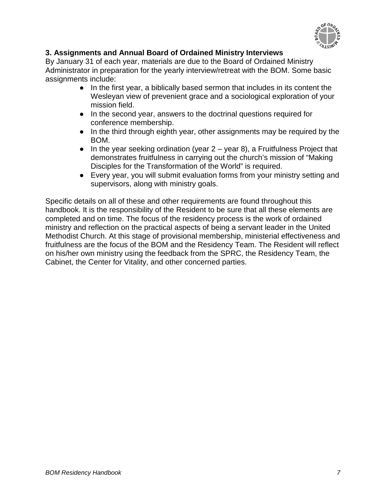

#### **3. Assignments and Annual Board of Ordained Ministry Interviews**

By January 31 of each year, materials are due to the Board of Ordained Ministry Administrator in preparation for the yearly interview/retreat with the BOM. Some basic assignments include:

- In the first year, a biblically based sermon that includes in its content the Wesleyan view of prevenient grace and a sociological exploration of your mission field.
- In the second year, answers to the doctrinal questions required for conference membership.
- In the third through eighth year, other assignments may be required by the BOM.
- $\bullet$  In the year seeking ordination (year 2 year 8), a Fruitfulness Project that demonstrates fruitfulness in carrying out the church's mission of "Making Disciples for the Transformation of the World" is required.
- Every year, you will submit evaluation forms from your ministry setting and supervisors, along with ministry goals.

Specific details on all of these and other requirements are found throughout this handbook. It is the responsibility of the Resident to be sure that all these elements are completed and on time. The focus of the residency process is the work of ordained ministry and reflection on the practical aspects of being a servant leader in the United Methodist Church. At this stage of provisional membership, ministerial effectiveness and fruitfulness are the focus of the BOM and the Residency Team. The Resident will reflect on his/her own ministry using the feedback from the SPRC, the Residency Team, the Cabinet, the Center for Vitality, and other concerned parties.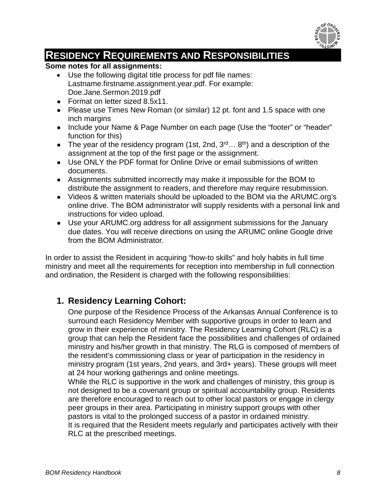

## **RESIDENCY REQUIREMENTS AND RESPONSIBILITIES**

#### **Some notes for all assignments:**

- Use the following digital title process for pdf file names: Lastname.firstname.assignment.year.pdf. For example: Doe.Jane.Sermon.2019.pdf
- Format on letter sized 8.5x11.
- Please use Times New Roman (or similar) 12 pt. font and 1.5 space with one inch margins
- Include your Name & Page Number on each page (Use the "footer" or "header" function for this)
- The year of the residency program (1st, 2nd,  $3^{rd}...$   $8^{th}$ ) and a description of the assignment at the top of the first page or the assignment.
- Use ONLY the PDF format for Online Drive or email submissions of written documents.
- Assignments submitted incorrectly may make it impossible for the BOM to distribute the assignment to readers, and therefore may require resubmission.
- Videos & written materials should be uploaded to the BOM via the ARUMC.org's online drive. The BOM administrator will supply residents with a personal link and instructions for video upload.
- Use your ARUMC.org address for all assignment submissions for the January due dates. You will receive directions on using the ARUMC online Google drive from the BOM Administrator.

In order to assist the Resident in acquiring "how-to skills" and holy habits in full time ministry and meet all the requirements for reception into membership in full connection and ordination, the Resident is charged with the following responsibilities:

## **1. Residency Learning Cohort:**

One purpose of the Residence Process of the Arkansas Annual Conference is to surround each Residency Member with supportive groups in order to learn and grow in their experience of ministry. The Residency Learning Cohort (RLC) is a group that can help the Resident face the possibilities and challenges of ordained ministry and his/her growth in that ministry. The RLG is composed of members of the resident's commissioning class or year of participation in the residency in ministry program (1st years, 2nd years, and 3rd+ years). These groups will meet at 24 hour working gatherings and online meetings.

While the RLC is supportive in the work and challenges of ministry, this group is not designed to be a covenant group or spiritual accountability group. Residents are therefore encouraged to reach out to other local pastors or engage in clergy peer groups in their area. Participating in ministry support groups with other pastors is vital to the prolonged success of a pastor in ordained ministry. It is required that the Resident meets regularly and participates actively with their RLC at the prescribed meetings.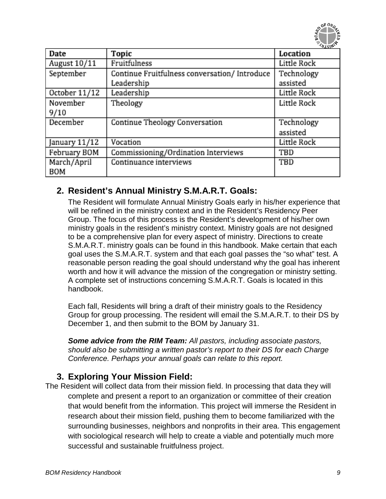

| Date           | Topic                                         | Location           |
|----------------|-----------------------------------------------|--------------------|
| August $10/11$ | Fruitfulness                                  | Little Rock        |
| September      | Continue Fruitfulness conversation/ Introduce | Technology         |
|                | Leadership                                    | assisted           |
| October 11/12  | Leadership                                    | Little Rock        |
| November       | Theology                                      | Little Rock        |
| 9/10           |                                               |                    |
| December       | <b>Continue Theology Conversation</b>         | Technology         |
|                |                                               | assisted           |
| January 11/12  | Vocation                                      | <b>Little Rock</b> |
| February BOM   | Commissioning/Ordination Interviews           | TBD                |
| March/April    | Continuance interviews                        | TBD                |
| <b>BOM</b>     |                                               |                    |

## **2. Resident's Annual Ministry S.M.A.R.T. Goals:**

The Resident will formulate Annual Ministry Goals early in his/her experience that will be refined in the ministry context and in the Resident's Residency Peer Group. The focus of this process is the Resident's development of his/her own ministry goals in the resident's ministry context. Ministry goals are not designed to be a comprehensive plan for every aspect of ministry. Directions to create S.M.A.R.T. ministry goals can be found in this handbook. Make certain that each goal uses the S.M.A.R.T. system and that each goal passes the "so what" test. A reasonable person reading the goal should understand why the goal has inherent worth and how it will advance the mission of the congregation or ministry setting. A complete set of instructions concerning S.M.A.R.T. Goals is located in this handbook.

Each fall, Residents will bring a draft of their ministry goals to the Residency Group for group processing. The resident will email the S.M.A.R.T. to their DS by December 1, and then submit to the BOM by January 31.

*Some advice from the RIM Team: All pastors, including associate pastors, should also be submitting a written pastor's report to their DS for each Charge Conference. Perhaps your annual goals can relate to this report.*

## **3. Exploring Your Mission Field:**

The Resident will collect data from their mission field. In processing that data they will complete and present a report to an organization or committee of their creation that would benefit from the information. This project will immerse the Resident in research about their mission field, pushing them to become familiarized with the surrounding businesses, neighbors and nonprofits in their area. This engagement with sociological research will help to create a viable and potentially much more successful and sustainable fruitfulness project.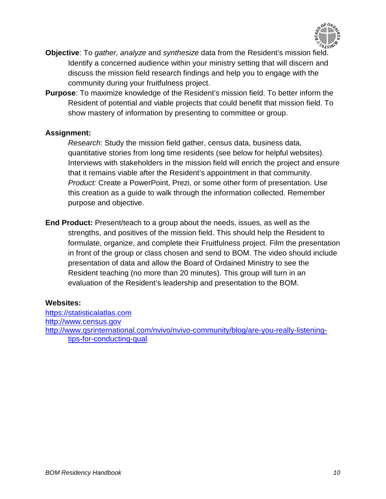

- **Objective**: To *gather, analyze* and *synthesize* data from the Resident's mission field. Identify a concerned audience within your ministry setting that will discern and discuss the mission field research findings and help you to engage with the community during your fruitfulness project.
- **Purpose**: To maximize knowledge of the Resident's mission field. To better inform the Resident of potential and viable projects that could benefit that mission field. To show mastery of information by presenting to committee or group.

#### **Assignment:**

*Research*: Study the mission field gather, census data, business data, quantitative stories from long time residents (see below for helpful websites). Interviews with stakeholders in the mission field will enrich the project and ensure that it remains viable after the Resident's appointment in that community. *Product:* Create a PowerPoint, Prezi, or some other form of presentation. Use this creation as a guide to walk through the information collected. Remember purpose and objective.

**End Product:** Present/teach to a group about the needs, issues, as well as the strengths, and positives of the mission field. This should help the Resident to formulate, organize, and complete their Fruitfulness project. Film the presentation in front of the group or class chosen and send to BOM. The video should include presentation of data and allow the Board of Ordained Ministry to see the Resident teaching (no more than 20 minutes). This group will turn in an evaluation of the Resident's leadership and presentation to the BOM.

#### **Websites:**

[https://statisticalatlas.com](https://statisticalatlas.com/) [http://www.census.gov](http://www.census.gov/) [http://www.qsrinternational.com/nvivo/nvivo-community/blog/are-you-really-listening](http://www.qsrinternational.com/nvivo/nvivo-community/blog/are-you-really-listening-tips-for-conducting-qual)[tips-for-conducting-qual](http://www.qsrinternational.com/nvivo/nvivo-community/blog/are-you-really-listening-tips-for-conducting-qual)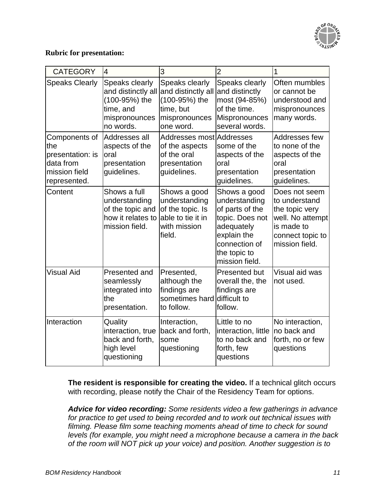

#### **Rubric for presentation:**

| <b>CATEGORY</b>                                                                        | $\overline{4}$                                                                                   | 3                                                                                                | $\overline{2}$                                                                                                                                      | 1                                                                                                                        |
|----------------------------------------------------------------------------------------|--------------------------------------------------------------------------------------------------|--------------------------------------------------------------------------------------------------|-----------------------------------------------------------------------------------------------------------------------------------------------------|--------------------------------------------------------------------------------------------------------------------------|
| <b>Speaks Clearly</b>                                                                  | Speaks clearly<br>and distinctly all<br>(100-95%) the<br>time, and<br>mispronounces<br>no words. | Speaks clearly<br>and distinctly all<br>(100-95%) the<br>time, but<br>mispronounces<br>one word. | Speaks clearly<br>and distinctly<br>most (94-85%)<br>of the time.<br>Mispronounces<br>several words.                                                | Often mumbles<br>or cannot be<br>understood and<br>mispronounces<br>many words.                                          |
| Components of<br>the<br>presentation: is<br>data from<br>mission field<br>represented. | Addresses all<br>aspects of the<br>oral<br>presentation<br>guidelines.                           | Addresses most Addresses<br>of the aspects<br>of the oral<br>presentation<br>guidelines.         | some of the<br>aspects of the<br>oral<br>presentation<br>guidelines.                                                                                | Addresses few<br>to none of the<br>aspects of the<br>oral<br>presentation<br>guidelines.                                 |
| Content                                                                                | Shows a full<br>understanding<br>of the topic and<br>how it relates to<br>mission field.         | Shows a good<br>understanding<br>of the topic. Is<br>able to tie it in<br>with mission<br>field. | Shows a good<br>understanding<br>of parts of the<br>topic. Does not<br>adequately<br>explain the<br>connection of<br>the topic to<br>mission field. | Does not seem<br>to understand<br>the topic very<br>well. No attempt<br>is made to<br>connect topic to<br>mission field. |
| <b>Visual Aid</b>                                                                      | Presented and<br>seamlessly<br>integrated into<br>the<br>presentation.                           | Presented,<br>although the<br>findings are<br>sometimes hard difficult to<br>to follow.          | Presented but<br>overall the, the<br>findings are<br>follow.                                                                                        | Visual aid was<br>not used.                                                                                              |
| Interaction                                                                            | Quality<br>interaction, true<br>back and forth,<br>high level<br>questioning                     | Interaction,<br>back and forth,<br>some<br>questioning                                           | Little to no<br>interaction, little<br>to no back and<br>forth, few<br>questions                                                                    | No interaction,<br>no back and<br>forth, no or few<br>questions                                                          |

**The resident is responsible for creating the video.** If a technical glitch occurs with recording, please notify the Chair of the Residency Team for options.

*Advice for video recording: Some residents video a few gatherings in advance for practice to get used to being recorded and to work out technical issues with filming. Please film some teaching moments ahead of time to check for sound levels (for example, you might need a microphone because a camera in the back of the room will NOT pick up your voice) and position. Another suggestion is to*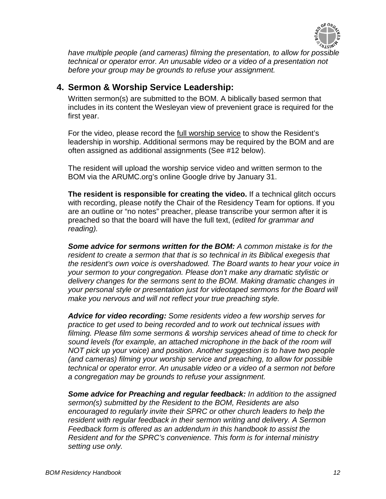

*have multiple people (and cameras) filming the presentation, to allow for possible technical or operator error. An unusable video or a video of a presentation not before your group may be grounds to refuse your assignment.*

### **4. Sermon & Worship Service Leadership:**

Written sermon(s) are submitted to the BOM. A biblically based sermon that includes in its content the Wesleyan view of prevenient grace is required for the first year.

For the video, please record the full worship service to show the Resident's leadership in worship. Additional sermons may be required by the BOM and are often assigned as additional assignments (See #12 below).

The resident will upload the worship service video and written sermon to the BOM via the ARUMC.org's online Google drive by January 31.

**The resident is responsible for creating the video.** If a technical glitch occurs with recording, please notify the Chair of the Residency Team for options. If you are an outline or "no notes" preacher, please transcribe your sermon after it is preached so that the board will have the full text, (*edited for grammar and reading).*

*Some advice for sermons written for the BOM: A common mistake is for the resident to create a sermon that that is so technical in its Biblical exegesis that the resident's own voice is overshadowed. The Board wants to hear your voice in your sermon to your congregation. Please don't make any dramatic stylistic or delivery changes for the sermons sent to the BOM. Making dramatic changes in your personal style or presentation just for videotaped sermons for the Board will make you nervous and will not reflect your true preaching style.*

*Advice for video recording: Some residents video a few worship serves for practice to get used to being recorded and to work out technical issues with filming. Please film some sermons & worship services ahead of time to check for sound levels (for example, an attached microphone in the back of the room will NOT pick up your voice) and position. Another suggestion is to have two people (and cameras) filming your worship service and preaching, to allow for possible technical or operator error. An unusable video or a video of a sermon not before a congregation may be grounds to refuse your assignment.*

*Some advice for Preaching and regular feedback: In addition to the assigned sermon(s) submitted by the Resident to the BOM, Residents are also encouraged to regularly invite their SPRC or other church leaders to help the resident with regular feedback in their sermon writing and delivery. A Sermon Feedback form is offered as an addendum in this handbook to assist the Resident and for the SPRC's convenience. This form is for internal ministry setting use only.*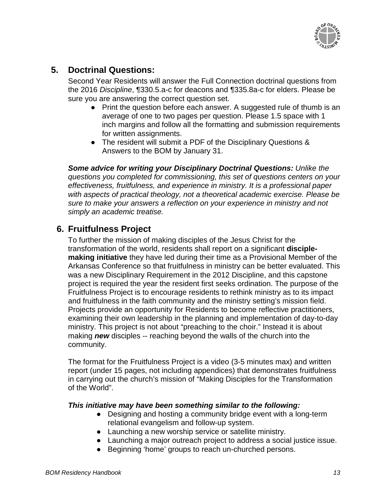

## **5. Doctrinal Questions:**

Second Year Residents will answer the Full Connection doctrinal questions from the 2016 *Discipline*, ¶330.5.a-c for deacons and ¶335.8a-c for elders. Please be sure you are answering the correct question set.

- Print the question before each answer. A suggested rule of thumb is an average of one to two pages per question. Please 1.5 space with 1 inch margins and follow all the formatting and submission requirements for written assignments.
- The resident will submit a PDF of the Disciplinary Questions & Answers to the BOM by January 31.

*Some advice for writing your Disciplinary Doctrinal Questions: Unlike the questions you completed for commissioning, this set of questions centers on your effectiveness, fruitfulness, and experience in ministry. It is a professional paper with aspects of practical theology, not a theoretical academic exercise. Please be sure to make your answers a reflection on your experience in ministry and not simply an academic treatise.*

## **6. Fruitfulness Project**

To further the mission of making disciples of the Jesus Christ for the transformation of the world, residents shall report on a significant **disciplemaking initiative** they have led during their time as a Provisional Member of the Arkansas Conference so that fruitfulness in ministry can be better evaluated. This was a new Disciplinary Requirement in the 2012 Discipline, and this capstone project is required the year the resident first seeks ordination. The purpose of the Fruitfulness Project is to encourage residents to rethink ministry as to its impact and fruitfulness in the faith community and the ministry setting's mission field. Projects provide an opportunity for Residents to become reflective practitioners, examining their own leadership in the planning and implementation of day-to-day ministry. This project is not about "preaching to the choir." Instead it is about making *new* disciples -- reaching beyond the walls of the church into the community.

The format for the Fruitfulness Project is a video (3-5 minutes max) and written report (under 15 pages, not including appendices) that demonstrates fruitfulness in carrying out the church's mission of "Making Disciples for the Transformation of the World".

#### *This initiative may have been something similar to the following:*

- Designing and hosting a community bridge event with a long-term relational evangelism and follow-up system.
- Launching a new worship service or satellite ministry.
- Launching a major outreach project to address a social justice issue.
- Beginning 'home' groups to reach un-churched persons.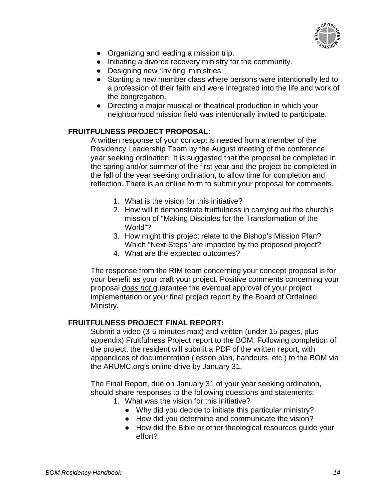

- Organizing and leading a mission trip.
- Initiating a divorce recovery ministry for the community.
- Designing new 'Inviting' ministries.
- Starting a new member class where persons were intentionally led to a profession of their faith and were integrated into the life and work of the congregation.
- Directing a major musical or theatrical production in which your neighborhood mission field was intentionally invited to participate.

#### **FRUITFULNESS PROJECT PROPOSAL:**

A written response of your concept is needed from a member of the Residency Leadership Team by the August meeting of the conference year seeking ordination. It is suggested that the proposal be completed in the spring and/or summer of the first year and the project be completed in the fall of the year seeking ordination, to allow time for completion and reflection. There is an online form to submit your proposal for comments.

- 1. What is the vision for this initiative?
- 2. How will it demonstrate fruitfulness in carrying out the church's mission of "Making Disciples for the Transformation of the World"?
- 3. How might this project relate to the Bishop's Mission Plan? Which "Next Steps" are impacted by the proposed project?
- 4. What are the expected outcomes?

The response from the RIM team concerning your concept proposal is for your benefit as your craft your project. Positive comments concerning your proposal *does not* guarantee the eventual approval of your project implementation or your final project report by the Board of Ordained Ministry.

#### **FRUITFULNESS PROJECT FINAL REPORT:**

Submit a video (3-5 minutes max) and written (under 15 pages, plus appendix) Fruitfulness Project report to the BOM. Following completion of the project, the resident will submit a PDF of the written report, with appendices of documentation (lesson plan, handouts, etc.) to the BOM via the ARUMC.org's online drive by January 31.

The Final Report, due on January 31 of your year seeking ordination, should share responses to the following questions and statements:

- 1. What was the vision for this initiative?
	- Why did you decide to initiate this particular ministry?
	- How did you determine and communicate the vision?
	- How did the Bible or other theological resources guide your effort?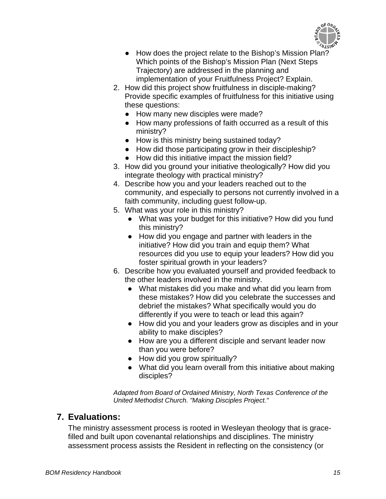

- How does the project relate to the Bishop's Mission Plan? Which points of the Bishop's Mission Plan (Next Steps Trajectory) are addressed in the planning and implementation of your Fruitfulness Project? Explain.
- 2. How did this project show fruitfulness in disciple-making? Provide specific examples of fruitfulness for this initiative using these questions:
	- How many new disciples were made?
	- How many professions of faith occurred as a result of this ministry?
	- How is this ministry being sustained today?
	- How did those participating grow in their discipleship?
	- How did this initiative impact the mission field?
- 3. How did you ground your initiative theologically? How did you integrate theology with practical ministry?
- 4. Describe how you and your leaders reached out to the community, and especially to persons not currently involved in a faith community, including guest follow-up.
- 5. What was your role in this ministry?
	- What was your budget for this initiative? How did you fund this ministry?
	- How did you engage and partner with leaders in the initiative? How did you train and equip them? What resources did you use to equip your leaders? How did you foster spiritual growth in your leaders?
- 6. Describe how you evaluated yourself and provided feedback to the other leaders involved in the ministry.
	- What mistakes did you make and what did you learn from these mistakes? How did you celebrate the successes and debrief the mistakes? What specifically would you do differently if you were to teach or lead this again?
	- How did you and your leaders grow as disciples and in your ability to make disciples?
	- How are you a different disciple and servant leader now than you were before?
	- How did you grow spiritually?
	- What did you learn overall from this initiative about making disciples?

*Adapted from Board of Ordained Ministry, North Texas Conference of the United Methodist Church. "Making Disciples Project."*

## **7. Evaluations:**

The ministry assessment process is rooted in Wesleyan theology that is gracefilled and built upon covenantal relationships and disciplines. The ministry assessment process assists the Resident in reflecting on the consistency (or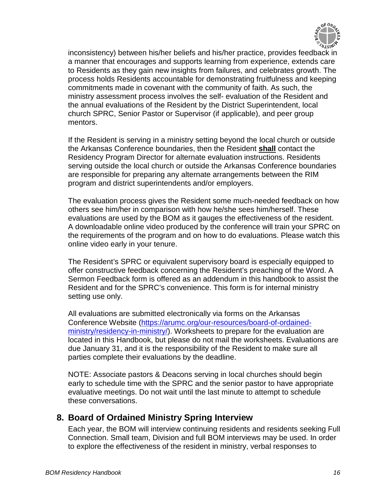

inconsistency) between his/her beliefs and his/her practice, provides feedback in a manner that encourages and supports learning from experience, extends care to Residents as they gain new insights from failures, and celebrates growth. The process holds Residents accountable for demonstrating fruitfulness and keeping commitments made in covenant with the community of faith. As such, the ministry assessment process involves the self- evaluation of the Resident and the annual evaluations of the Resident by the District Superintendent, local church SPRC, Senior Pastor or Supervisor (if applicable), and peer group mentors.

If the Resident is serving in a ministry setting beyond the local church or outside the Arkansas Conference boundaries, then the Resident **shall** contact the Residency Program Director for alternate evaluation instructions. Residents serving outside the local church or outside the Arkansas Conference boundaries are responsible for preparing any alternate arrangements between the RIM program and district superintendents and/or employers.

The evaluation process gives the Resident some much-needed feedback on how others see him/her in comparison with how he/she sees him/herself. These evaluations are used by the BOM as it gauges the effectiveness of the resident. A downloadable online video produced by the conference will train your SPRC on the requirements of the program and on how to do evaluations. Please watch this online video early in your tenure.

The Resident's SPRC or equivalent supervisory board is especially equipped to offer constructive feedback concerning the Resident's preaching of the Word. A Sermon Feedback form is offered as an addendum in this handbook to assist the Resident and for the SPRC's convenience. This form is for internal ministry setting use only.

All evaluations are submitted electronically via forms on the Arkansas Conference Website [\(https://arumc.org/our-resources/board-of-ordained](https://arumc.org/our-resources/board-of-ordained-ministry/residency-in-ministry/)[ministry/residency-in-ministry/\)](https://arumc.org/our-resources/board-of-ordained-ministry/residency-in-ministry/). Worksheets to prepare for the evaluation are located in this Handbook, but please do not mail the worksheets. Evaluations are due January 31, and it is the responsibility of the Resident to make sure all parties complete their evaluations by the deadline.

NOTE: Associate pastors & Deacons serving in local churches should begin early to schedule time with the SPRC and the senior pastor to have appropriate evaluative meetings. Do not wait until the last minute to attempt to schedule these conversations.

## **8. Board of Ordained Ministry Spring Interview**

Each year, the BOM will interview continuing residents and residents seeking Full Connection. Small team, Division and full BOM interviews may be used. In order to explore the effectiveness of the resident in ministry, verbal responses to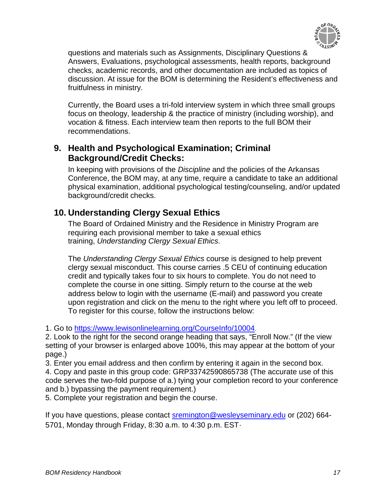

questions and materials such as Assignments, Disciplinary Questions & Answers, Evaluations, psychological assessments, health reports, background checks, academic records, and other documentation are included as topics of discussion. At issue for the BOM is determining the Resident's effectiveness and fruitfulness in ministry.

Currently, the Board uses a tri-fold interview system in which three small groups focus on theology, leadership & the practice of ministry (including worship), and vocation & fitness. Each interview team then reports to the full BOM their recommendations.

## **9. Health and Psychological Examination; Criminal Background/Credit Checks:**

In keeping with provisions of the *Discipline* and the policies of the Arkansas Conference, the BOM may, at any time, require a candidate to take an additional physical examination, additional psychological testing/counseling, and/or updated background/credit checks.

## **10. Understanding Clergy Sexual Ethics**

The Board of Ordained Ministry and the Residence in Ministry Program are requiring each provisional member to take a sexual ethics training, *Understanding Clergy Sexual Ethics*.

The *Understanding Clergy Sexual Ethics* course is designed to help prevent clergy sexual misconduct. This course carries .5 CEU of continuing education credit and typically takes four to six hours to complete. You do not need to complete the course in one sitting. Simply return to the course at the web address below to login with the username (E-mail) and password you create upon registration and click on the menu to the right where you left off to proceed. To register for this course, follow the instructions below:

1. Go to [https://www.lewisonlinelearning.org/CourseInfo/10004.](https://www.lewisonlinelearning.org/CourseInfo/10004)

2. Look to the right for the second orange heading that says, "Enroll Now." (If the view setting of your browser is enlarged above 100%, this may appear at the bottom of your page.)

3. Enter you email address and then confirm by entering it again in the second box. 4. Copy and paste in this group code: GRP33742590865738 (The accurate use of this code serves the two-fold purpose of a.) tying your completion record to your conference and b.) bypassing the payment requirement.)

5. Complete your registration and begin the course.

If you have questions, please contact **sremington@wesleyseminary.edu** or (202) 664-5701, Monday through Friday, 8:30 a.m. to 4:30 p.m. EST*.*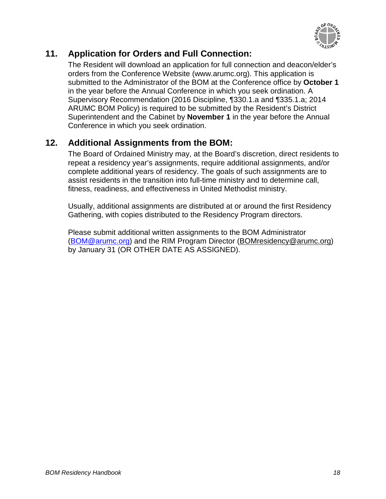

## **11. Application for Orders and Full Connection:**

The Resident will download an application for full connection and deacon/elder's orders from the Conference Website (www.arumc.org). This application is submitted to the Administrator of the BOM at the Conference office by **October 1** in the year before the Annual Conference in which you seek ordination. A Supervisory Recommendation (2016 Discipline, ¶330.1.a and ¶335.1.a; 2014 ARUMC BOM Policy) is required to be submitted by the Resident's District Superintendent and the Cabinet by **November 1** in the year before the Annual Conference in which you seek ordination.

## **12. Additional Assignments from the BOM:**

The Board of Ordained Ministry may, at the Board's discretion, direct residents to repeat a residency year's assignments, require additional assignments, and/or complete additional years of residency. The goals of such assignments are to assist residents in the transition into full-time ministry and to determine call, fitness, readiness, and effectiveness in United Methodist ministry.

Usually, additional assignments are distributed at or around the first Residency Gathering, with copies distributed to the Residency Program directors.

Please submit additional written assignments to the BOM Administrator [\(BOM@arumc.org\)](mailto:BOM@arumc.org) and the RIM Program Director [\(BOMresidency@arumc.org\)](mailto:BOMresidency@arumc.org) by January 31 (OR OTHER DATE AS ASSIGNED).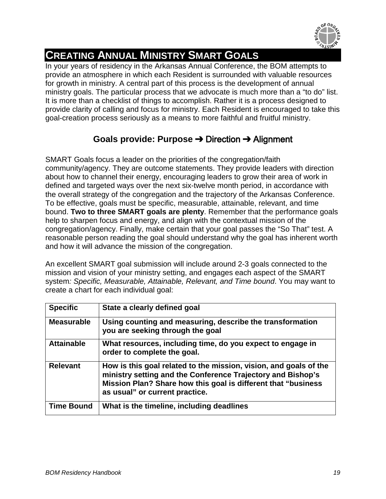

## <span id="page-18-0"></span>**CREATING ANNUAL MINISTRY SMART GOALS**

In your years of residency in the Arkansas Annual Conference, the BOM attempts to provide an atmosphere in which each Resident is surrounded with valuable resources for growth in ministry. A central part of this process is the development of annual ministry goals. The particular process that we advocate is much more than a "to do" list. It is more than a checklist of things to accomplish. Rather it is a process designed to provide clarity of calling and focus for ministry. Each Resident is encouraged to take this goal-creation process seriously as a means to more faithful and fruitful ministry.

## **Goals provide: Purpose** ➔ Direction ➔ Alignment

SMART Goals focus a leader on the priorities of the congregation/faith community/agency. They are outcome statements. They provide leaders with direction about how to channel their energy, encouraging leaders to grow their area of work in defined and targeted ways over the next six-twelve month period, in accordance with the overall strategy of the congregation and the trajectory of the Arkansas Conference. To be effective, goals must be specific, measurable, attainable, relevant, and time bound. **Two to three SMART goals are plenty**. Remember that the performance goals help to sharpen focus and energy, and align with the contextual mission of the congregation/agency. Finally, make certain that your goal passes the "So That" test. A reasonable person reading the goal should understand why the goal has inherent worth and how it will advance the mission of the congregation.

An excellent SMART goal submission will include around 2-3 goals connected to the mission and vision of your ministry setting, and engages each aspect of the SMART system*: Specific, Measurable, Attainable, Relevant, and Time bound*. You may want to create a chart for each individual goal:

| <b>Specific</b>   | State a clearly defined goal                                                                                                                                                                                                        |
|-------------------|-------------------------------------------------------------------------------------------------------------------------------------------------------------------------------------------------------------------------------------|
| <b>Measurable</b> | Using counting and measuring, describe the transformation<br>you are seeking through the goal                                                                                                                                       |
| <b>Attainable</b> | What resources, including time, do you expect to engage in<br>order to complete the goal.                                                                                                                                           |
| <b>Relevant</b>   | How is this goal related to the mission, vision, and goals of the<br>ministry setting and the Conference Trajectory and Bishop's<br>Mission Plan? Share how this goal is different that "business<br>as usual" or current practice. |
| <b>Time Bound</b> | What is the timeline, including deadlines                                                                                                                                                                                           |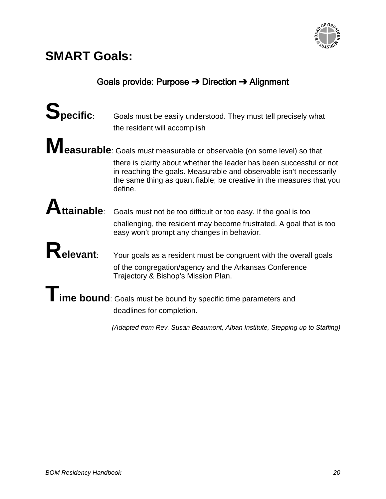

## **SMART Goals:**

## Goals provide: Purpose ➔ Direction ➔ Alignment

| Specific: | Goals must be easily understood. They must tell precisely what                                                                                                                                                                |
|-----------|-------------------------------------------------------------------------------------------------------------------------------------------------------------------------------------------------------------------------------|
|           | the resident will accomplish                                                                                                                                                                                                  |
|           | Measurable: Goals must measurable or observable (on some level) so that                                                                                                                                                       |
|           |                                                                                                                                                                                                                               |
|           | there is clarity about whether the leader has been successful or not<br>in reaching the goals. Measurable and observable isn't necessarily<br>the same thing as quantifiable; be creative in the measures that you<br>define. |
|           |                                                                                                                                                                                                                               |
|           | <b>Attainable</b> : Goals must not be too difficult or too easy. If the goal is too                                                                                                                                           |
|           | challenging, the resident may become frustrated. A goal that is too<br>easy won't prompt any changes in behavior.                                                                                                             |
|           |                                                                                                                                                                                                                               |
| Relevant: | Your goals as a resident must be congruent with the overall goals                                                                                                                                                             |
|           | of the congregation/agency and the Arkansas Conference<br>Trajectory & Bishop's Mission Plan.                                                                                                                                 |
|           |                                                                                                                                                                                                                               |
|           | lime bound: Goals must be bound by specific time parameters and<br>deadlines for completion.                                                                                                                                  |
|           | (Adapted from Rev. Susan Beaumont, Alban Institute, Stepping up to Staffing)                                                                                                                                                  |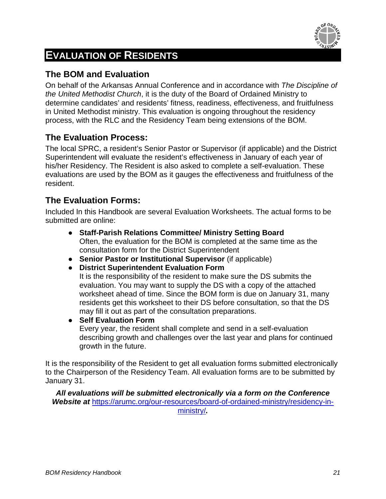

## **EVALUATION OF RESIDENTS**

## **The BOM and Evaluation**

On behalf of the Arkansas Annual Conference and in accordance with *The Discipline of the United Methodist Church*, it is the duty of the Board of Ordained Ministry to determine candidates' and residents' fitness, readiness, effectiveness, and fruitfulness in United Methodist ministry. This evaluation is ongoing throughout the residency process, with the RLC and the Residency Team being extensions of the BOM.

## **The Evaluation Process:**

The local SPRC, a resident's Senior Pastor or Supervisor (if applicable) and the District Superintendent will evaluate the resident's effectiveness in January of each year of his/her Residency. The Resident is also asked to complete a self-evaluation. These evaluations are used by the BOM as it gauges the effectiveness and fruitfulness of the resident.

## **The Evaluation Forms:**

Included In this Handbook are several Evaluation Worksheets. The actual forms to be submitted are online:

- **Staff-Parish Relations Committee/ Ministry Setting Board** Often, the evaluation for the BOM is completed at the same time as the consultation form for the District Superintendent
- **Senior Pastor or Institutional Supervisor** (if applicable)
- **District Superintendent Evaluation Form**

It is the responsibility of the resident to make sure the DS submits the evaluation. You may want to supply the DS with a copy of the attached worksheet ahead of time. Since the BOM form is due on January 31, many residents get this worksheet to their DS before consultation, so that the DS may fill it out as part of the consultation preparations.

● **Self Evaluation Form** Every year, the resident shall complete and send in a self-evaluation describing growth and challenges over the last year and plans for continued growth in the future.

It is the responsibility of the Resident to get all evaluation forms submitted electronically to the Chairperson of the Residency Team. All evaluation forms are to be submitted by January 31.

*All evaluations will be submitted electronically via a form on the Conference*  Website at [https://arumc.org/our-resources/board-of-ordained-ministry/residency-in](https://arumc.org/our-resources/board-of-ordained-ministry/residency-in-ministry/)[ministry/](https://arumc.org/our-resources/board-of-ordained-ministry/residency-in-ministry/)*.*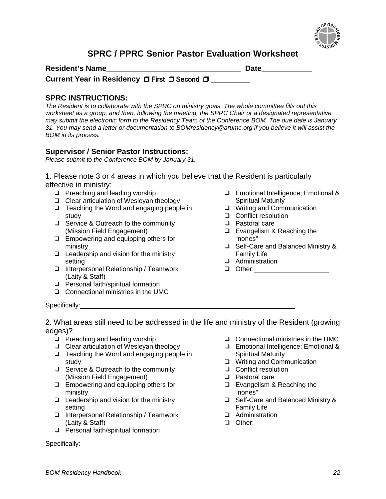

## **SPRC / PPRC Senior Pastor Evaluation Worksheet**

| <b>Resident's Name</b>                       | <b>Date</b> |
|----------------------------------------------|-------------|
| Current Year in Residency □ First □ Second □ |             |

#### **SPRC INSTRUCTIONS:**

*The Resident is to collaborate with the SPRC on ministry goals. The whole committee fills out this worksheet as a group, and then, following the meeting, the SPRC Chair or a designated representative may submit the electronic form to the Residency Team of the Conference BOM. The due date is January 31. You may send a letter or documentation to BOMresidency@arumc.org if you believe it will assist the BOM in its process.*

#### **Supervisor / Senior Pastor Instructions:**

*Please submit to the Conference BOM by January 31.*

1. Please note 3 or 4 areas in which you believe that the Resident is particularly effective in ministry:

- ❑ Preaching and leading worship
- ❑ Clear articulation of Wesleyan theology
- ❑ Teaching the Word and engaging people in study
- ❑ Service & Outreach to the community (Mission Field Engagement)
- ❑ Empowering and equipping others for ministry
- ❑ Leadership and vision for the ministry setting
- ❑ Interpersonal Relationship / Teamwork (Laity & Staff)
- ❑ Personal faith/spiritual formation
- ❑ Connectional ministries in the UMC
- ❑ Emotional Intelligence; Emotional & Spiritual Maturity
- ❑ Writing and Communication
- ❑ Conflict resolution
- ❑ Pastoral care
- ❑ Evangelism & Reaching the "nones"
- ❑ Self-Care and Balanced Ministry & Family Life
- ❑ Administration
- ❑ Other:

Specifically:

2. What areas still need to be addressed in the life and ministry of the Resident (growing edges)?

- ❑ Preaching and leading worship
- ❑ Clear articulation of Wesleyan theology
- ❑ Teaching the Word and engaging people in study
- ❑ Service & Outreach to the community (Mission Field Engagement)
- ❑ Empowering and equipping others for ministry
- ❑ Leadership and vision for the ministry setting
- ❑ Interpersonal Relationship / Teamwork (Laity & Staff)
- ❑ Personal faith/spiritual formation

Specifically:

- ❑ Connectional ministries in the UMC
- ❑ Emotional Intelligence; Emotional & Spiritual Maturity
- ❑ Writing and Communication
- ❑ Conflict resolution
- ❑ Pastoral care
- ❑ Evangelism & Reaching the "nones"
- ❑ Self-Care and Balanced Ministry & Family Life
- ❑ Administration
- ❑ Other: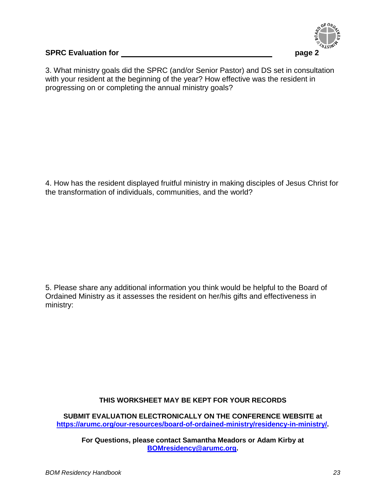

#### **SPRC Evaluation for page 2**

3. What ministry goals did the SPRC (and/or Senior Pastor) and DS set in consultation with your resident at the beginning of the year? How effective was the resident in progressing on or completing the annual ministry goals?

4. How has the resident displayed fruitful ministry in making disciples of Jesus Christ for the transformation of individuals, communities, and the world?

5. Please share any additional information you think would be helpful to the Board of Ordained Ministry as it assesses the resident on her/his gifts and effectiveness in ministry:

#### **THIS WORKSHEET MAY BE KEPT FOR YOUR RECORDS**

**SUBMIT EVALUATION ELECTRONICALLY ON THE CONFERENCE WEBSITE at [https://arumc.org/our-resources/board-of-ordained-ministry/residency-in-ministry/.](https://arumc.org/our-resources/board-of-ordained-ministry/residency-in-ministry/)**

**For Questions, please contact Samantha Meadors or Adam Kirby at [BOMresidency@arumc.org.](mailto:BOMresidency@arumc.org)**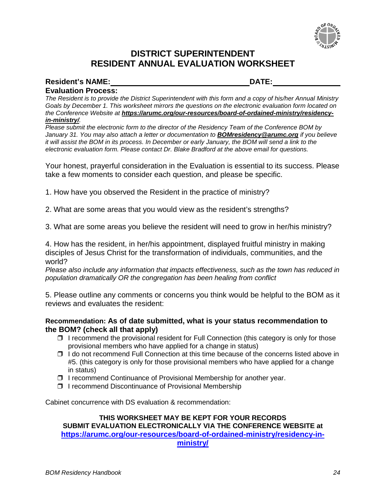

### **DISTRICT SUPERINTENDENT RESIDENT ANNUAL EVALUATION WORKSHEET**

## **Resident's NAME: DATE:**

**Evaluation Process:**

*The Resident is to provide the District Superintendent with this form and a copy of his/her Annual Ministry Goals by December 1. This worksheet mirrors the questions on the electronic evaluation form located on the Conference Website at https://arumc.org/our-resources/board-of-ordained-ministry/residencyin-ministry/.*

*Please submit the electronic form to the director of the Residency Team of the Conference BOM by January 31. You may also attach a letter or documentation to [BOMresidency@arumc.org](mailto:BOMresidency@arumc.org) if you believe it will assist the BOM in its process. In December or early January, the BOM will send a link to the electronic evaluation form. Please contact Dr. Blake Bradford at the above email for questions.*

Your honest, prayerful consideration in the Evaluation is essential to its success. Please take a few moments to consider each question, and please be specific.

1. How have you observed the Resident in the practice of ministry?

2. What are some areas that you would view as the resident's strengths?

3. What are some areas you believe the resident will need to grow in her/his ministry?

4. How has the resident, in her/his appointment, displayed fruitful ministry in making disciples of Jesus Christ for the transformation of individuals, communities, and the world?

*Please also include any information that impacts effectiveness, such as the town has reduced in population dramatically OR the congregation has been healing from conflict*

5. Please outline any comments or concerns you think would be helpful to the BOM as it reviews and evaluates the resident:

#### **Recommendation: As of date submitted, what is your status recommendation to the BOM? (check all that apply)**

- ❒ I recommend the provisional resident for Full Connection (this category is only for those provisional members who have applied for a change in status)
- ❒ I do not recommend Full Connection at this time because of the concerns listed above in #5. (this category is only for those provisional members who have applied for a change in status)
- ❒ I recommend Continuance of Provisional Membership for another year.
- ❒ I recommend Discontinuance of Provisional Membership

Cabinet concurrence with DS evaluation & recommendation:

#### **THIS WORKSHEET MAY BE KEPT FOR YOUR RECORDS SUBMIT EVALUATION ELECTRONICALLY VIA THE CONFERENCE WEBSITE at [https://arumc.org/our-resources/board-of-ordained-ministry/residency-in](https://arumc.org/our-resources/board-of-ordained-ministry/residency-in-ministry/)[ministry/](https://arumc.org/our-resources/board-of-ordained-ministry/residency-in-ministry/)**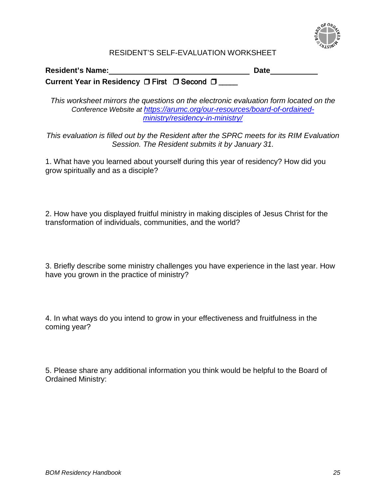

#### RESIDENT'S SELF-EVALUATION WORKSHEET

#### **Resident's Name: Date**

**Current Year in Residency** ❒ First ❒ Second ❒ \_\_\_\_\_

*This worksheet mirrors the questions on the electronic evaluation form located on the Conference Website at [https://arumc.org/our-resources/board-of-ordained](https://arumc.org/our-resources/board-of-ordained-ministry/residency-in-ministry/)[ministry/residency-in-ministry/](https://arumc.org/our-resources/board-of-ordained-ministry/residency-in-ministry/)*

*This evaluation is filled out by the Resident after the SPRC meets for its RIM Evaluation Session. The Resident submits it by January 31.*

1. What have you learned about yourself during this year of residency? How did you grow spiritually and as a disciple?

2. How have you displayed fruitful ministry in making disciples of Jesus Christ for the transformation of individuals, communities, and the world?

3. Briefly describe some ministry challenges you have experience in the last year. How have you grown in the practice of ministry?

4. In what ways do you intend to grow in your effectiveness and fruitfulness in the coming year?

5. Please share any additional information you think would be helpful to the Board of Ordained Ministry: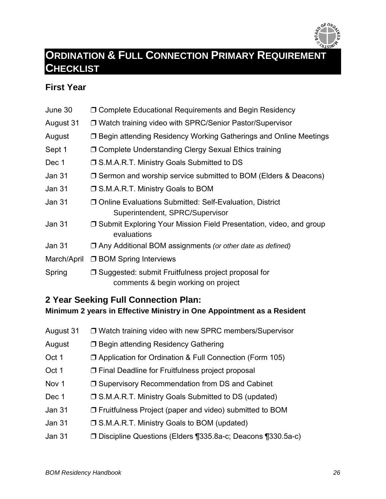

## <span id="page-25-0"></span>**ORDINATION & FULL CONNECTION PRIMARY REQUIREMENT CHECKLIST**

## **First Year**

June 30 ❒ Complete Educational Requirements and Begin Residency August 31 ❒ Watch training video with SPRC/Senior Pastor/Supervisor August ❒ Begin attending Residency Working Gatherings and Online Meetings Sept 1 ◯ Complete Understanding Clergy Sexual Ethics training Dec 1 <del>□</del> S.M.A.R.T. Ministry Goals Submitted to DS Jan 31 ❒ Sermon and worship service submitted to BOM (Elders & Deacons) Jan 31 ❒ S.M.A.R.T. Ministry Goals to BOM Jan 31 ❒ Online Evaluations Submitted: Self-Evaluation, District Superintendent, SPRC/Supervisor Jan 31 ❒ Submit Exploring Your Mission Field Presentation, video, and group evaluations Jan 31 ❒ Any Additional BOM assignments *(or other date as defined)* March/April □ BOM Spring Interviews Spring □ Suggested: submit Fruitfulness project proposal for comments & begin working on project

### **2 Year Seeking Full Connection Plan: Minimum 2 years in Effective Ministry in One Appointment as a Resident**

| August 31 | □ Watch training video with new SPRC members/Supervisor        |
|-----------|----------------------------------------------------------------|
| August    | □ Begin attending Residency Gathering                          |
| Oct 1     | $\Box$ Application for Ordination & Full Connection (Form 105) |
| Oct 1     | $\Box$ Final Deadline for Fruitfulness project proposal        |
| Nov 1     | □ Supervisory Recommendation from DS and Cabinet               |
| Dec 1     | □ S.M.A.R.T. Ministry Goals Submitted to DS (updated)          |
| Jan 31    | $\Box$ Fruitfulness Project (paper and video) submitted to BOM |
| Jan 31    | □ S.M.A.R.T. Ministry Goals to BOM (updated)                   |
| Jan 31    | □ Discipline Questions (Elders ¶335.8a-c; Deacons ¶330.5a-c)   |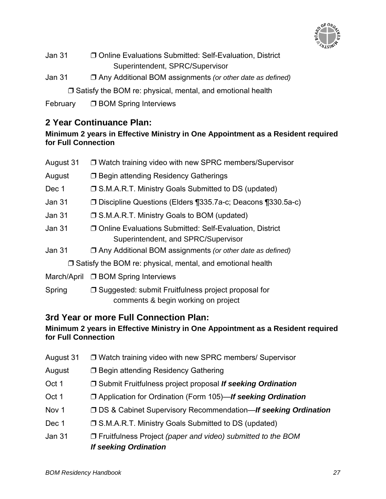

- Jan 31 ❒ Online Evaluations Submitted: Self-Evaluation, District Superintendent, SPRC/Supervisor
- Jan 31 ❒ Any Additional BOM assignments *(or other date as defined)*

❒ Satisfy the BOM re: physical, mental, and emotional health

February ❒ BOM Spring Interviews

## **2 Year Continuance Plan:**

### **Minimum 2 years in Effective Ministry in One Appointment as a Resident required for Full Connection**

| August 31     | □ Watch training video with new SPRC members/Supervisor                                          |
|---------------|--------------------------------------------------------------------------------------------------|
| August        | □ Begin attending Residency Gatherings                                                           |
| Dec 1         | □ S.M.A.R.T. Ministry Goals Submitted to DS (updated)                                            |
| Jan 31        | □ Discipline Questions (Elders ¶335.7a-c; Deacons ¶330.5a-c)                                     |
| <b>Jan 31</b> | □ S.M.A.R.T. Ministry Goals to BOM (updated)                                                     |
| Jan 31        | □ Online Evaluations Submitted: Self-Evaluation, District<br>Superintendent, and SPRC/Supervisor |
| <b>Jan 31</b> | □ Any Additional BOM assignments (or other date as defined)                                      |
|               | $\Box$ Satisfy the BOM re: physical, mental, and emotional health                                |
| March/April   | <b>J BOM Spring Interviews</b>                                                                   |
| Spring        | □ Suggested: submit Fruitfulness project proposal for<br>comments & begin working on project     |

## **3rd Year or more Full Connection Plan:**

## **Minimum 2 years in Effective Ministry in One Appointment as a Resident required for Full Connection**

- August 31 ❒ Watch training video with new SPRC members/ Supervisor
- August ❒ Begin attending Residency Gathering
- Oct 1 ❒ Submit Fruitfulness project proposal *If seeking Ordination*
- Oct 1 ❒ Application for Ordination (Form 105)—*If seeking Ordination*
- Nov 1 ❒ DS & Cabinet Supervisory Recommendation—*If seeking Ordination*
- Dec 1 ◯ S.M.A.R.T. Ministry Goals Submitted to DS (updated)
- Jan 31 ❒ Fruitfulness Project *(paper and video) submitted to the BOM If seeking Ordination*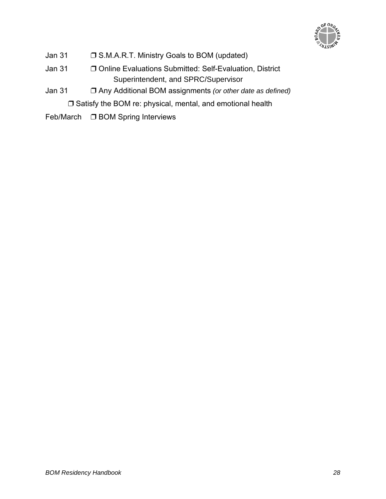

- Jan 31 ❒ S.M.A.R.T. Ministry Goals to BOM (updated)
- Jan 31 ❒ Online Evaluations Submitted: Self-Evaluation, District Superintendent, and SPRC/Supervisor
- Jan 31 ❒ Any Additional BOM assignments *(or other date as defined)*

❒ Satisfy the BOM re: physical, mental, and emotional health

Feb/March ❒ BOM Spring Interviews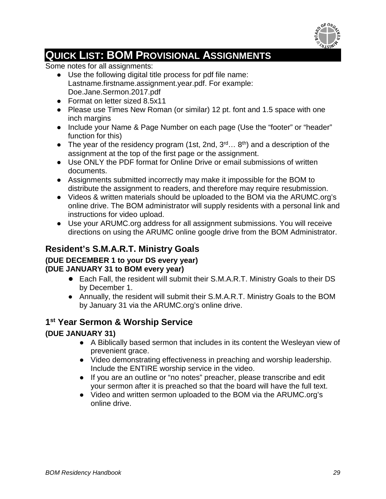

## <span id="page-28-0"></span>**QUICK LIST: BOM PROVISIONAL ASSIGNMENTS**

Some notes for all assignments:

- Use the following digital title process for pdf file name: Lastname.firstname.assignment.year.pdf. For example: Doe.Jane.Sermon.2017.pdf
- Format on letter sized 8.5x11
- Please use Times New Roman (or similar) 12 pt. font and 1.5 space with one inch margins
- Include your Name & Page Number on each page (Use the "footer" or "header" function for this)
- The year of the residency program (1st, 2nd,  $3^{rd}...$   $8^{th}$ ) and a description of the assignment at the top of the first page or the assignment.
- Use ONLY the PDF format for Online Drive or email submissions of written documents.
- Assignments submitted incorrectly may make it impossible for the BOM to distribute the assignment to readers, and therefore may require resubmission.
- Videos & written materials should be uploaded to the BOM via the ARUMC.org's online drive. The BOM administrator will supply residents with a personal link and instructions for video upload.
- Use your ARUMC.org address for all assignment submissions. You will receive directions on using the ARUMC online google drive from the BOM Administrator.

## **Resident's S.M.A.R.T. Ministry Goals**

## **(DUE DECEMBER 1 to your DS every year)**

#### **(DUE JANUARY 31 to BOM every year)**

- Each Fall, the resident will submit their S.M.A.R.T. Ministry Goals to their DS by December 1.
- Annually, the resident will submit their S.M.A.R.T. Ministry Goals to the BOM by January 31 via the ARUMC.org's online drive.

## **1st Year Sermon & Worship Service**

## **(DUE JANUARY 31)**

- A Biblically based sermon that includes in its content the Wesleyan view of prevenient grace.
- Video demonstrating effectiveness in preaching and worship leadership. Include the ENTIRE worship service in the video.
- If you are an outline or "no notes" preacher, please transcribe and edit your sermon after it is preached so that the board will have the full text.
- Video and written sermon uploaded to the BOM via the ARUMC.org's online drive.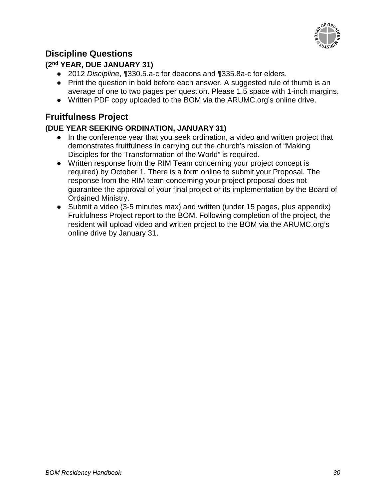

## **Discipline Questions**

## **(2nd YEAR, DUE JANUARY 31)**

- 2012 *Discipline*, ¶330.5.a-c for deacons and ¶335.8a-c for elders.
- Print the question in bold before each answer. A suggested rule of thumb is an average of one to two pages per question. Please 1.5 space with 1-inch margins.
- Written PDF copy uploaded to the BOM via the ARUMC.org's online drive.

## **Fruitfulness Project**

## **(DUE YEAR SEEKING ORDINATION, JANUARY 31)**

- In the conference year that you seek ordination, a video and written project that demonstrates fruitfulness in carrying out the church's mission of "Making Disciples for the Transformation of the World" is required.
- Written response from the RIM Team concerning your project concept is required) by October 1. There is a form online to submit your Proposal. The response from the RIM team concerning your project proposal does not guarantee the approval of your final project or its implementation by the Board of Ordained Ministry.
- Submit a video (3-5 minutes max) and written (under 15 pages, plus appendix) Fruitfulness Project report to the BOM. Following completion of the project, the resident will upload video and written project to the BOM via the ARUMC.org's online drive by January 31.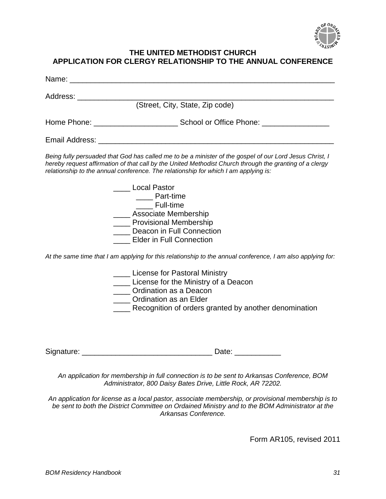

#### **THE UNITED METHODIST CHURCH APPLICATION FOR CLERGY RELATIONSHIP TO THE ANNUAL CONFERENCE**

| Address: __________________                                                                                                                                                                                                                                                                               |
|-----------------------------------------------------------------------------------------------------------------------------------------------------------------------------------------------------------------------------------------------------------------------------------------------------------|
| (Street, City, State, Zip code)                                                                                                                                                                                                                                                                           |
|                                                                                                                                                                                                                                                                                                           |
| Email Address: Email Address:                                                                                                                                                                                                                                                                             |
| Being fully persuaded that God has called me to be a minister of the gospel of our Lord Jesus Christ, I<br>hereby request affirmation of that call by the United Methodist Church through the granting of a clergy<br>relationship to the annual conference. The relationship for which I am applying is: |
| <b>Local Pastor</b><br>_____ Part-time<br><b>Full-time</b><br>____ Associate Membership<br><b>Novisional Membership</b><br>Deacon in Full Connection<br><b>Elder in Full Connection</b>                                                                                                                   |
| At the same time that I am applying for this relationship to the annual conference, I am also applying for:                                                                                                                                                                                               |
| ____ License for Pastoral Ministry<br>____ License for the Ministry of a Deacon<br>____ Ordination as a Deacon<br>____ Ordination as an Elder<br>Recognition of orders granted by another denomination                                                                                                    |
|                                                                                                                                                                                                                                                                                                           |
| An application for membership in full connection is to be sent to Arkansas Conference, BOM<br>Administrator, 800 Daisy Bates Drive, Little Rock, AR 72202.                                                                                                                                                |
|                                                                                                                                                                                                                                                                                                           |

*An application for license as a local pastor, associate membership, or provisional membership is to be sent to both the District Committee on Ordained Ministry and to the BOM Administrator at the Arkansas Conference.*

Form AR105, revised 2011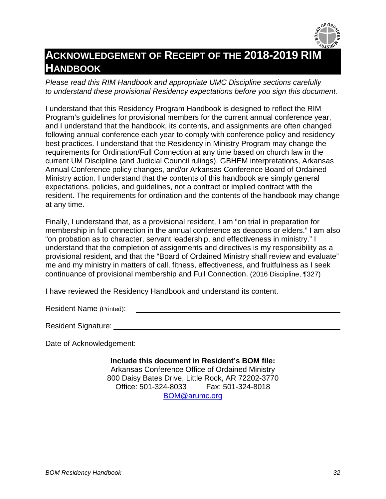

## **ACKNOWLEDGEMENT OF RECEIPT OF THE 2018-2019 RIM HANDBOOK**

*Please read this RIM Handbook and appropriate UMC Discipline sections carefully to understand these provisional Residency expectations before you sign this document.*

I understand that this Residency Program Handbook is designed to reflect the RIM Program's guidelines for provisional members for the current annual conference year, and I understand that the handbook, its contents, and assignments are often changed following annual conference each year to comply with conference policy and residency best practices. I understand that the Residency in Ministry Program may change the requirements for Ordination/Full Connection at any time based on church law in the current UM Discipline (and Judicial Council rulings), GBHEM interpretations, Arkansas Annual Conference policy changes, and/or Arkansas Conference Board of Ordained Ministry action. I understand that the contents of this handbook are simply general expectations, policies, and guidelines, not a contract or implied contract with the resident. The requirements for ordination and the contents of the handbook may change at any time.

Finally, I understand that, as a provisional resident, I am "on trial in preparation for membership in full connection in the annual conference as deacons or elders." I am also "on probation as to character, servant leadership, and effectiveness in ministry." I understand that the completion of assignments and directives is my responsibility as a provisional resident, and that the "Board of Ordained Ministry shall review and evaluate" me and my ministry in matters of call, fitness, effectiveness, and fruitfulness as I seek continuance of provisional membership and Full Connection. (2016 Discipline, ¶327)

I have reviewed the Residency Handbook and understand its content.

Resident Name (Printed):

Resident Signature:

Date of Acknowledgement:

**Include this document in Resident's BOM file:** Arkansas Conference Office of Ordained Ministry 800 Daisy Bates Drive, Little Rock, AR 72202-3770 Office: 501-324-8033 Fax: 501-324-8018 [BOM@arumc.org](mailto:BOM@arumc.org)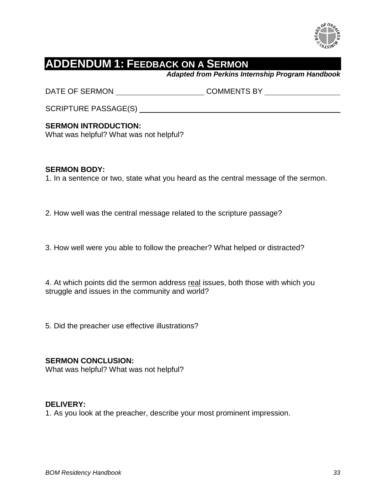

## **ADDENDUM 1: FEEDBACK ON A SERMON**

*Adapted from Perkins Internship Program Handbook*

DATE OF SERMON COMMENTS BY

SCRIPTURE PASSAGE(S)

#### **SERMON INTRODUCTION:**

What was helpful? What was not helpful?

#### **SERMON BODY:**

1. In a sentence or two, state what you heard as the central message of the sermon.

2. How well was the central message related to the scripture passage?

3. How well were you able to follow the preacher? What helped or distracted?

4. At which points did the sermon address real issues, both those with which you struggle and issues in the community and world?

5. Did the preacher use effective illustrations?

#### **SERMON CONCLUSION:**

What was helpful? What was not helpful?

#### **DELIVERY:**

1. As you look at the preacher, describe your most prominent impression.